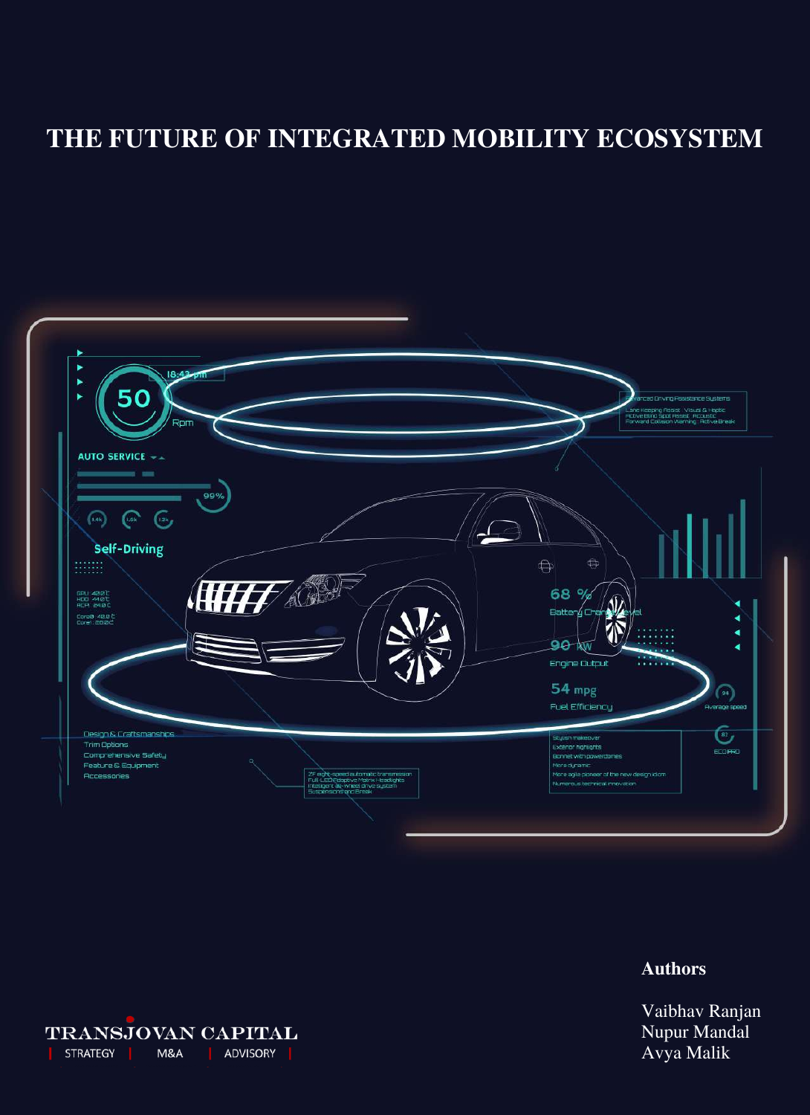# **THE FUTURE OF INTEGRATED MOBILITY ECOSYSTEM**



# **Authors**

Vaibhav Ranjan Nupur Mandal Avya Malik

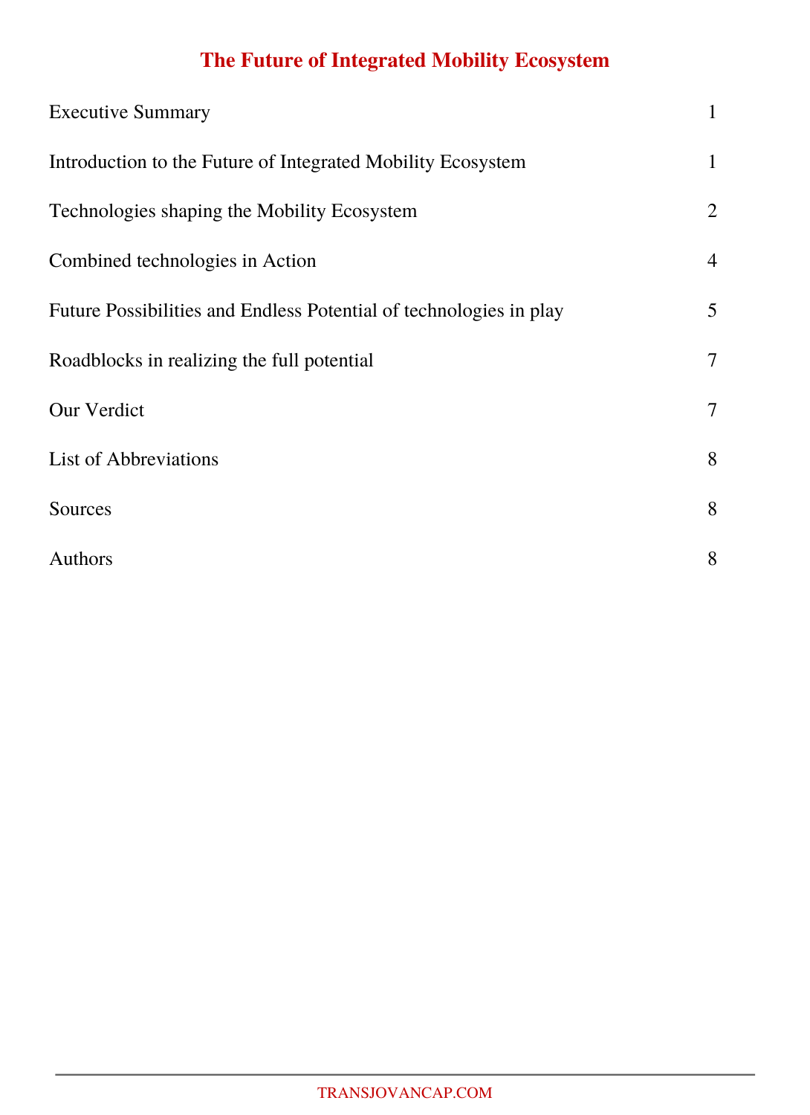# **The Future of Integrated Mobility Ecosystem**

| <b>Executive Summary</b>                                           | $\mathbf{1}$   |
|--------------------------------------------------------------------|----------------|
| Introduction to the Future of Integrated Mobility Ecosystem        | $\mathbf{1}$   |
| Technologies shaping the Mobility Ecosystem                        | $\overline{2}$ |
| Combined technologies in Action                                    | $\overline{4}$ |
| Future Possibilities and Endless Potential of technologies in play | 5 <sup>5</sup> |
| Roadblocks in realizing the full potential                         | $\tau$         |
| <b>Our Verdict</b>                                                 | $\tau$         |
| <b>List of Abbreviations</b>                                       | 8              |
| Sources                                                            | 8              |
| Authors                                                            | 8              |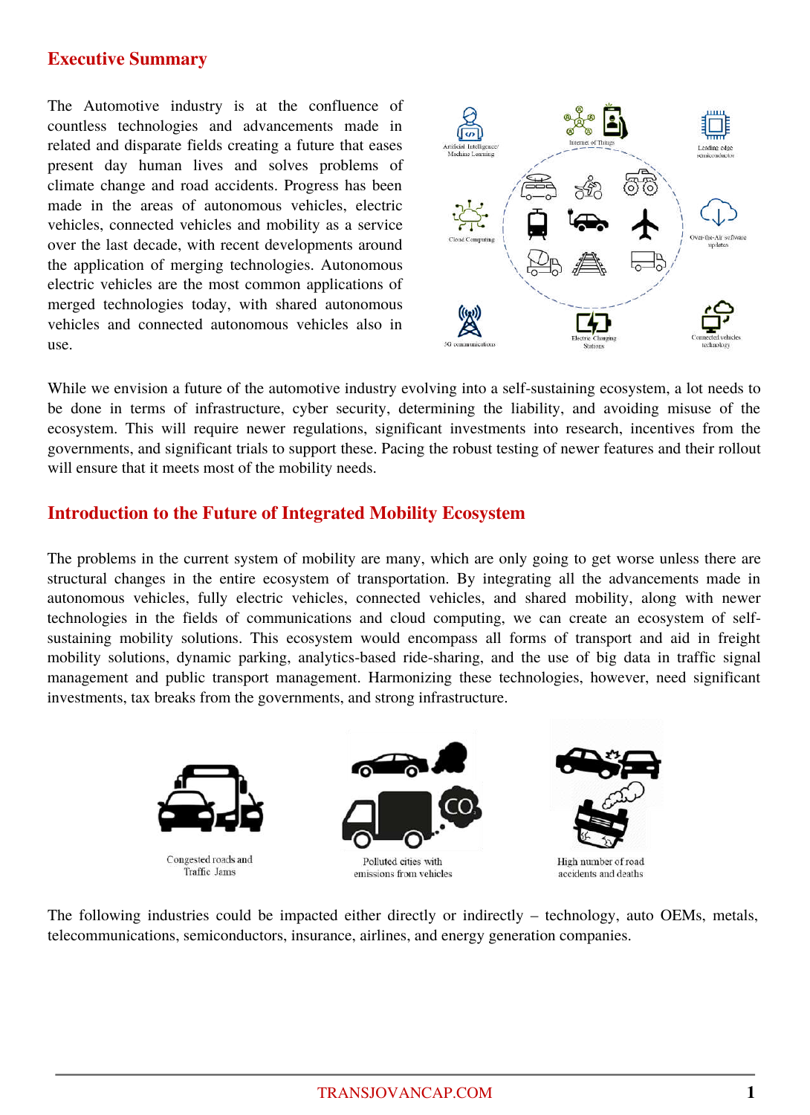## **Executive Summary**

The Automotive industry is at the confluence of countless technologies and advancements made in related and disparate fields creating a future that eases present day human lives and solves problems of climate change and road accidents. Progress has been made in the areas of autonomous vehicles, electric vehicles, connected vehicles and mobility as a service over the last decade, with recent developments around the application of merging technologies. Autonomous electric vehicles are the most common applications of merged technologies today, with shared autonomous vehicles and connected autonomous vehicles also in use.



While we envision a future of the automotive industry evolving into a self-sustaining ecosystem, a lot needs to be done in terms of infrastructure, cyber security, determining the liability, and avoiding misuse of the ecosystem. This will require newer regulations, significant investments into research, incentives from the governments, and significant trials to support these. Pacing the robust testing of newer features and their rollout will ensure that it meets most of the mobility needs.

# **Introduction to the Future of Integrated Mobility Ecosystem**

The problems in the current system of mobility are many, which are only going to get worse unless there are structural changes in the entire ecosystem of transportation. By integrating all the advancements made in autonomous vehicles, fully electric vehicles, connected vehicles, and shared mobility, along with newer technologies in the fields of communications and cloud computing, we can create an ecosystem of selfsustaining mobility solutions. This ecosystem would encompass all forms of transport and aid in freight mobility solutions, dynamic parking, analytics-based ride-sharing, and the use of big data in traffic signal management and public transport management. Harmonizing these technologies, however, need significant investments, tax breaks from the governments, and strong infrastructure.



The following industries could be impacted either directly or indirectly – technology, auto OEMs, metals, telecommunications, semiconductors, insurance, airlines, and energy generation companies.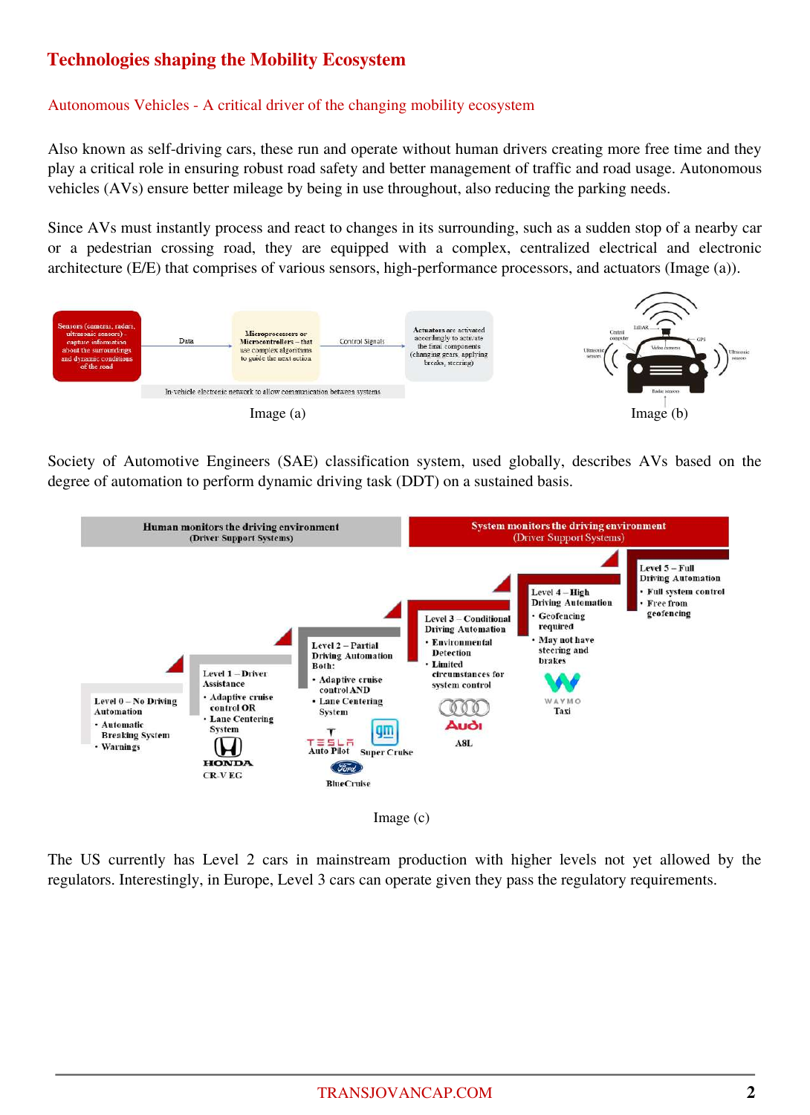# **Technologies shaping the Mobility Ecosystem**

#### Autonomous Vehicles - A critical driver of the changing mobility ecosystem

Also known as self-driving cars, these run and operate without human drivers creating more free time and they play a critical role in ensuring robust road safety and better management of traffic and road usage. Autonomous vehicles (AVs) ensure better mileage by being in use throughout, also reducing the parking needs.

Since AVs must instantly process and react to changes in its surrounding, such as a sudden stop of a nearby car or a pedestrian crossing road, they are equipped with a complex, centralized electrical and electronic architecture (E/E) that comprises of various sensors, high-performance processors, and actuators (Image (a)).



Society of Automotive Engineers (SAE) classification system, used globally, describes AVs based on the degree of automation to perform dynamic driving task (DDT) on a sustained basis.



The US currently has Level 2 cars in mainstream production with higher levels not yet allowed by the regulators. Interestingly, in Europe, Level 3 cars can operate given they pass the regulatory requirements.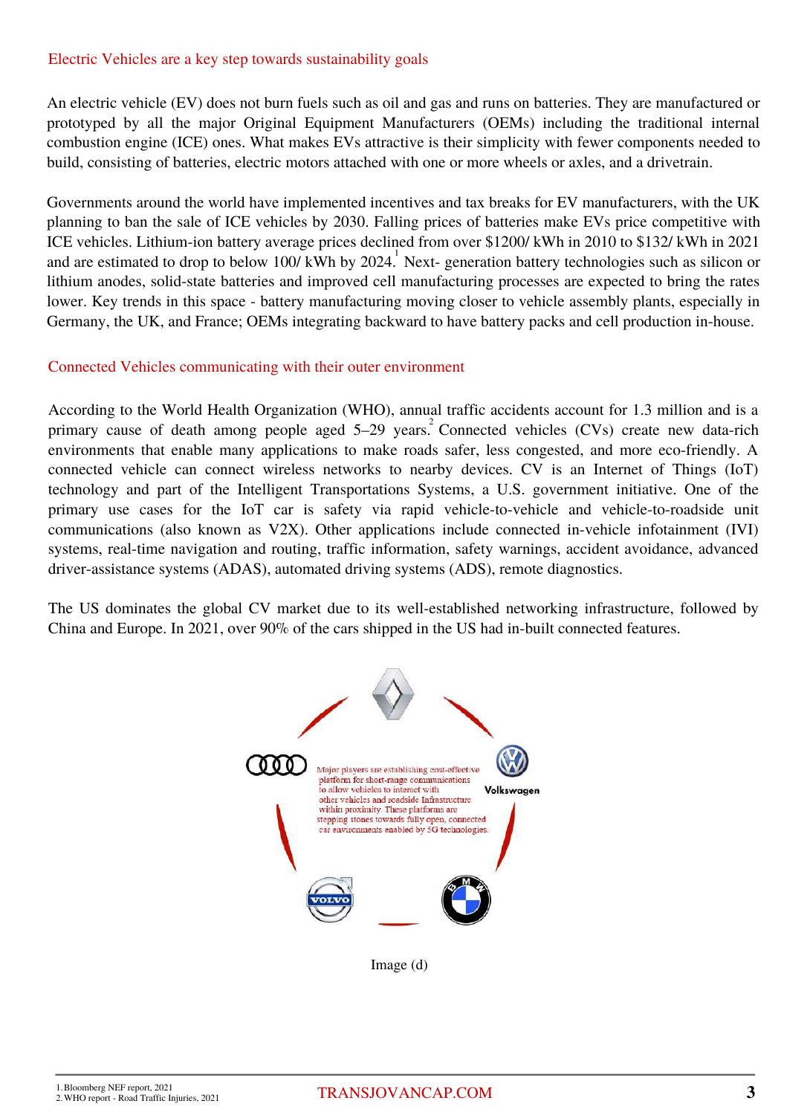#### Electric Vehicles are a key step towards sustainability goals

An electric vehicle (EV) does not burn fuels such as oil and gas and runs on batteries. They are manufactured or prototyped by all the major Original Equipment Manufacturers (OEMs) including the traditional internal combustion engine (ICE) ones. What makes EVs attractive is their simplicity with fewer components needed to build, consisting of batteries, electric motors attached with one or more wheels or axles, and a drivetrain.

Governments around the world have implemented incentives and tax breaks for EV manufacturers, with the UK planning to ban the sale of ICE vehicles by 2030. Falling prices of batteries make EVs price competitive with ICE vehicles. Lithium-ion battery average prices declined from over \$1200/ kWh in 2010 to \$132/ kWh in 2021 and are estimated to drop to below 100/kWh by 2024. Next- generation battery technologies such as silicon or lithium anodes, solid-state batteries and improved cell manufacturing processes are expected to bring the rates lower. Key trends in this space - battery manufacturing moving closer to vehicle assembly plants, especially in Germany, the UK, and France; OEMs integrating backward to have battery packs and cell production in-house.

#### Connected Vehicles communicating with their outer environment

According to the World Health Organization (WHO), annual traffic accidents account for 1.3 million and is a primary cause of death among people aged  $5-29$  years.<sup>2</sup> Connected vehicles (CVs) create new data-rich environments that enable many applications to make roads safer, less congested, and more eco-friendly. A connected vehicle can connect wireless networks to nearby devices. CV is an Internet of Things (IoT) technology and part of the Intelligent Transportations Systems, a U.S. government initiative. One of the primary use cases for the IoT car is safety via rapid vehicle-to-vehicle and vehicle-to-roadside unit communications (also known as V2X). Other applications include connected in-vehicle infotainment (IVI) systems, real-time navigation and routing, traffic information, safety warnings, accident avoidance, advanced driver-assistance systems (ADAS), automated driving systems (ADS), remote diagnostics.

The US dominates the global CV market due to its well-established networking infrastructure, followed by China and Europe. In 2021, over 90% of the cars shipped in the US had in-built connected features.



Image (d)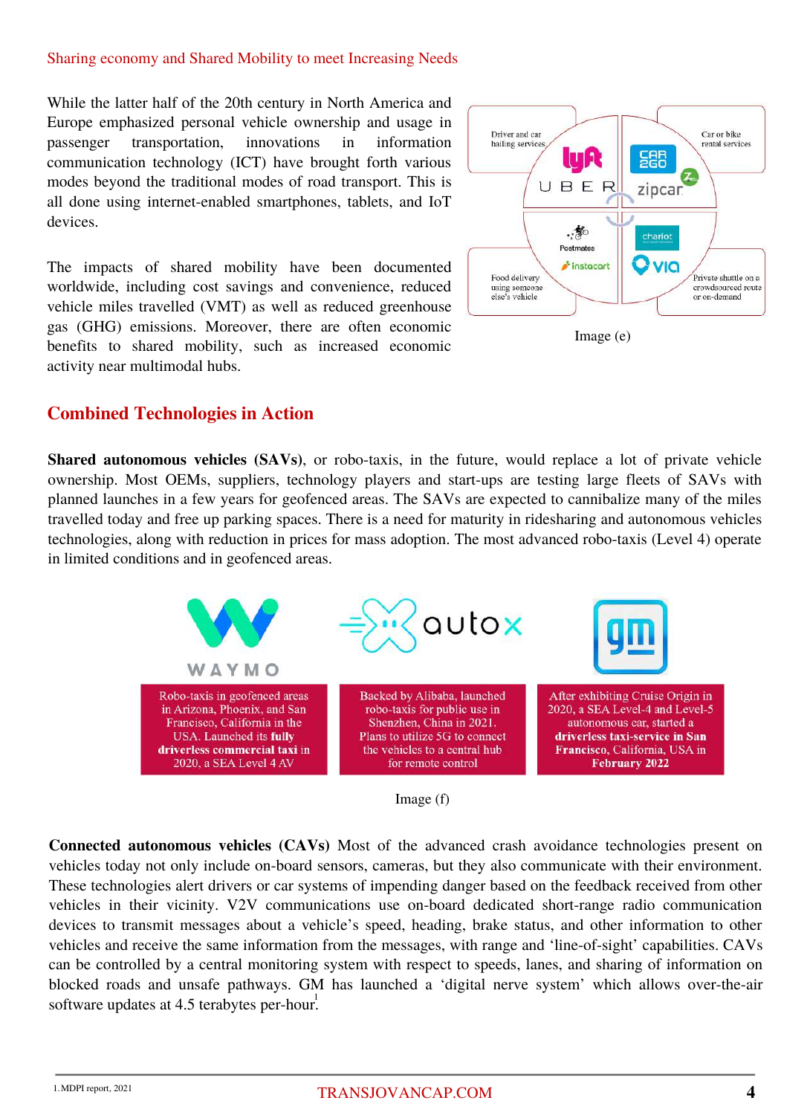#### Sharing economy and Shared Mobility to meet Increasing Needs

While the latter half of the 20th century in North America and Europe emphasized personal vehicle ownership and usage in passenger transportation, innovations in information communication technology (ICT) have brought forth various modes beyond the traditional modes of road transport. This is all done using internet-enabled smartphones, tablets, and IoT devices.

The impacts of shared mobility have been documented worldwide, including cost savings and convenience, reduced vehicle miles travelled (VMT) as well as reduced greenhouse gas (GHG) emissions. Moreover, there are often economic benefits to shared mobility, such as increased economic activity near multimodal hubs.



## **Combined Technologies in Action**

**Shared autonomous vehicles (SAVs)**, or robo-taxis, in the future, would replace a lot of private vehicle ownership. Most OEMs, suppliers, technology players and start-ups are testing large fleets of SAVs with planned launches in a few years for geofenced areas. The SAVs are expected to cannibalize many of the miles travelled today and free up parking spaces. There is a need for maturity in ridesharing and autonomous vehicles technologies, along with reduction in prices for mass adoption. The most advanced robo-taxis (Level 4) operate in limited conditions and in geofenced areas.





**Connected autonomous vehicles (CAVs)** Most of the advanced crash avoidance technologies present on vehicles today not only include on-board sensors, cameras, but they also communicate with their environment. These technologies alert drivers or car systems of impending danger based on the feedback received from other vehicles in their vicinity. V2V communications use on-board dedicated short-range radio communication devices to transmit messages about a vehicle's speed, heading, brake status, and other information to other vehicles and receive the same information from the messages, with range and 'line-of-sight' capabilities. CAVs can be controlled by a central monitoring system with respect to speeds, lanes, and sharing of information on blocked roads and unsafe pathways. GM has launched a 'digital nerve system' which allows over-the-air software updates at 4.5 terabytes per-hour.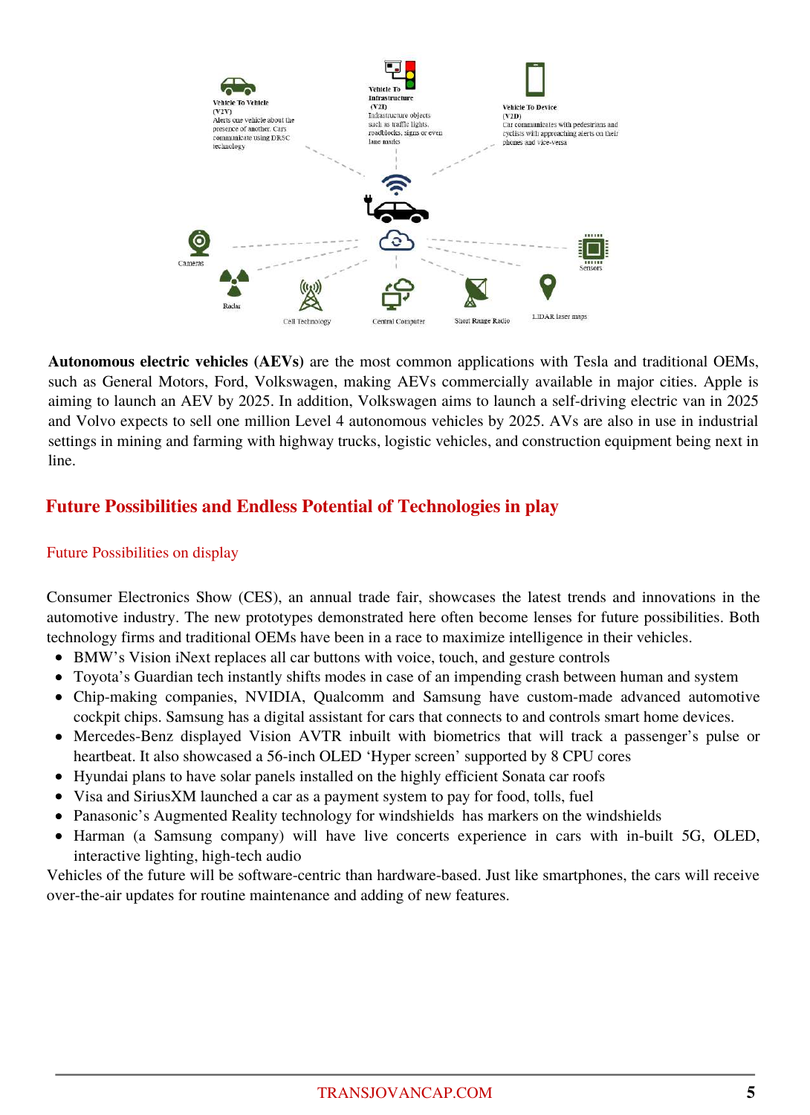

**Autonomous electric vehicles (AEVs)** are the most common applications with Tesla and traditional OEMs, such as General Motors, Ford, Volkswagen, making AEVs commercially available in major cities. Apple is aiming to launch an AEV by 2025. In addition, Volkswagen aims to launch a self-driving electric van in 2025 and Volvo expects to sell one million Level 4 autonomous vehicles by 2025. AVs are also in use in industrial settings in mining and farming with highway trucks, logistic vehicles, and construction equipment being next in line.

# **Future Possibilities and Endless Potential of Technologies in play**

## Future Possibilities on display

Consumer Electronics Show (CES), an annual trade fair, showcases the latest trends and innovations in the automotive industry. The new prototypes demonstrated here often become lenses for future possibilities. Both technology firms and traditional OEMs have been in a race to maximize intelligence in their vehicles.

- BMW's Vision iNext replaces all car buttons with voice, touch, and gesture controls
- Toyota's Guardian tech instantly shifts modes in case of an impending crash between human and system
- Chip-making companies, NVIDIA, Qualcomm and Samsung have custom-made advanced automotive cockpit chips. Samsung has a digital assistant for cars that connects to and controls smart home devices.
- Mercedes-Benz displayed Vision AVTR inbuilt with biometrics that will track a passenger's pulse or heartbeat. It also showcased a 56-inch OLED 'Hyper screen' supported by 8 CPU cores
- Hyundai plans to have solar panels installed on the highly efficient Sonata car roofs
- Visa and SiriusXM launched a car as a payment system to pay for food, tolls, fuel
- Panasonic's Augmented Reality technology for windshields has markers on the windshields
- Harman (a Samsung company) will have live concerts experience in cars with in-built 5G, OLED, interactive lighting, high-tech audio

Vehicles of the future will be software-centric than hardware-based. Just like smartphones, the cars will receive over-the-air updates for routine maintenance and adding of new features.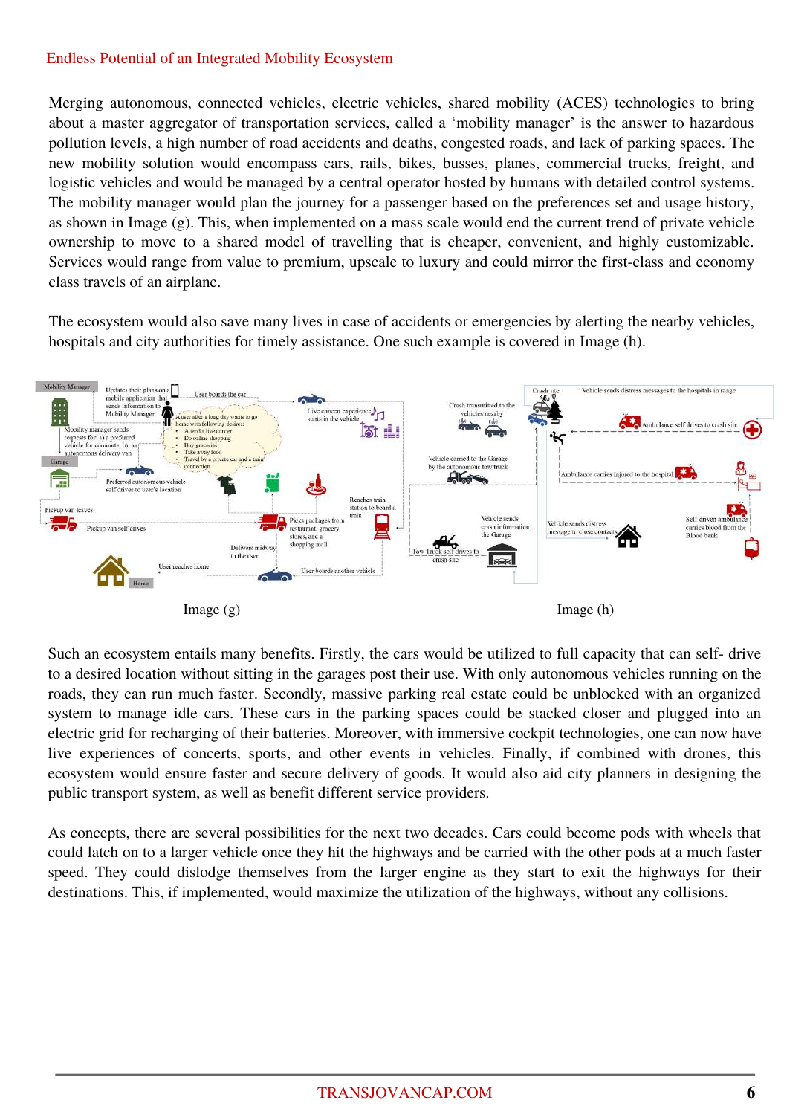### Endless Potential of an Integrated Mobility Ecosystem

Merging autonomous, connected vehicles, electric vehicles, shared mobility (ACES) technologies to bring about a master aggregator of transportation services, called a 'mobility manager' is the answer to hazardous pollution levels, a high number of road accidents and deaths, congested roads, and lack of parking spaces. The new mobility solution would encompass cars, rails, bikes, busses, planes, commercial trucks, freight, and logistic vehicles and would be managed by a central operator hosted by humans with detailed control systems. The mobility manager would plan the journey for a passenger based on the preferences set and usage history, as shown in Image (g). This, when implemented on a mass scale would end the current trend of private vehicle ownership to move to a shared model of travelling that is cheaper, convenient, and highly customizable. Services would range from value to premium, upscale to luxury and could mirror the first-class and economy class travels of an airplane.

The ecosystem would also save many lives in case of accidents or emergencies by alerting the nearby vehicles, hospitals and city authorities for timely assistance. One such example is covered in Image (h).



Such an ecosystem entails many benefits. Firstly, the cars would be utilized to full capacity that can self- drive to a desired location without sitting in the garages post their use. With only autonomous vehicles running on the roads, they can run much faster. Secondly, massive parking real estate could be unblocked with an organized system to manage idle cars. These cars in the parking spaces could be stacked closer and plugged into an electric grid for recharging of their batteries. Moreover, with immersive cockpit technologies, one can now have live experiences of concerts, sports, and other events in vehicles. Finally, if combined with drones, this ecosystem would ensure faster and secure delivery of goods. It would also aid city planners in designing the public transport system, as well as benefit different service providers.

As concepts, there are several possibilities for the next two decades. Cars could become pods with wheels that could latch on to a larger vehicle once they hit the highways and be carried with the other pods at a much faster speed. They could dislodge themselves from the larger engine as they start to exit the highways for their destinations. This, if implemented, would maximize the utilization of the highways, without any collisions.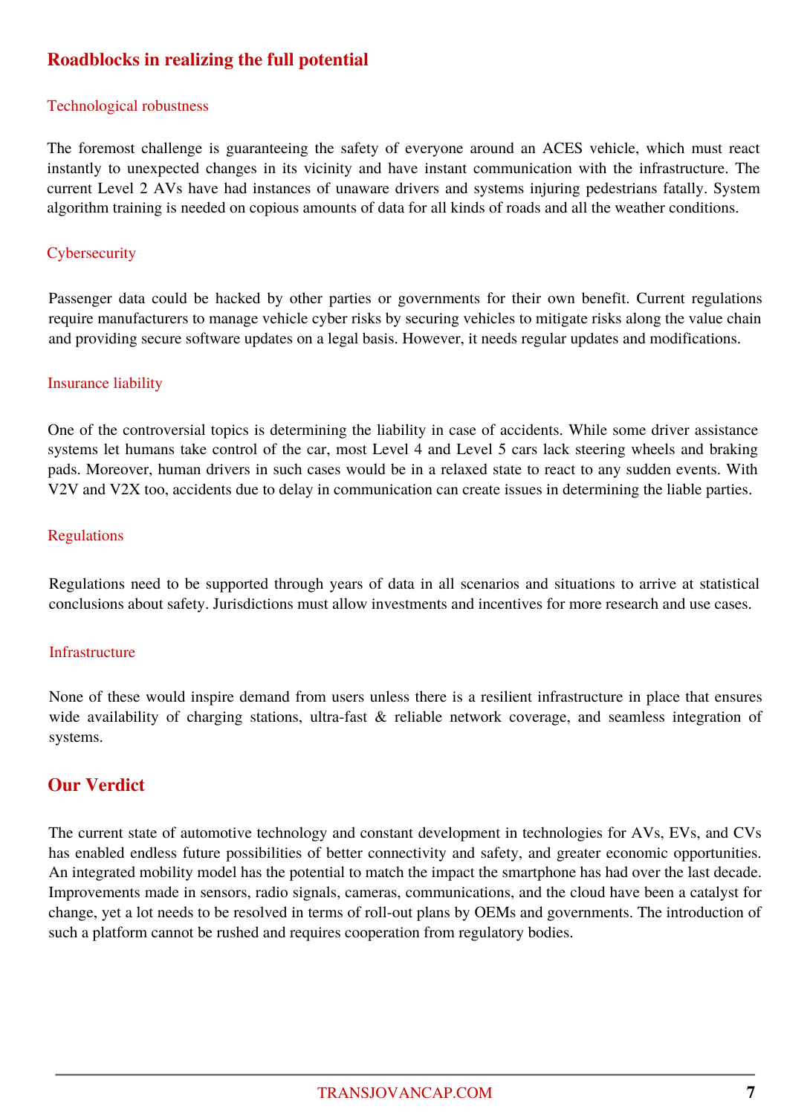# **Roadblocks in realizing the full potential**

#### Technological robustness

The foremost challenge is guaranteeing the safety of everyone around an ACES vehicle, which must react instantly to unexpected changes in its vicinity and have instant communication with the infrastructure. The current Level 2 AVs have had instances of unaware drivers and systems injuring pedestrians fatally. System algorithm training is needed on copious amounts of data for all kinds of roads and all the weather conditions.

#### **Cybersecurity**

Passenger data could be hacked by other parties or governments for their own benefit. Current regulations require manufacturers to manage vehicle cyber risks by securing vehicles to mitigate risks along the value chain and providing secure software updates on a legal basis. However, it needs regular updates and modifications.

#### Insurance liability

One of the controversial topics is determining the liability in case of accidents. While some driver assistance systems let humans take control of the car, most Level 4 and Level 5 cars lack steering wheels and braking pads. Moreover, human drivers in such cases would be in a relaxed state to react to any sudden events. With V2V and V2X too, accidents due to delay in communication can create issues in determining the liable parties.

#### Regulations

Regulations need to be supported through years of data in all scenarios and situations to arrive at statistical conclusions about safety. Jurisdictions must allow investments and incentives for more research and use cases.

#### **Infrastructure**

None of these would inspire demand from users unless there is a resilient infrastructure in place that ensures wide availability of charging stations, ultra-fast & reliable network coverage, and seamless integration of systems.

## **Our Verdict**

The current state of automotive technology and constant development in technologies for AVs, EVs, and CVs has enabled endless future possibilities of better connectivity and safety, and greater economic opportunities. An integrated mobility model has the potential to match the impact the smartphone has had over the last decade. Improvements made in sensors, radio signals, cameras, communications, and the cloud have been a catalyst for change, yet a lot needs to be resolved in terms of roll-out plans by OEMs and governments. The introduction of such a platform cannot be rushed and requires cooperation from regulatory bodies.